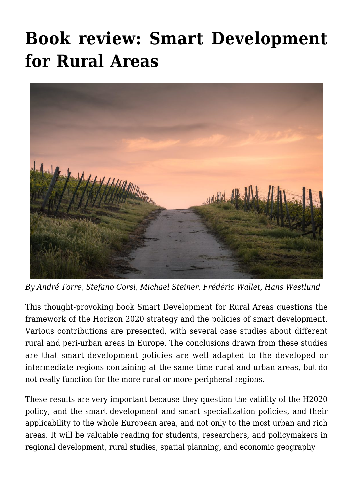# **[Book review: Smart Development](https://regions.regionalstudies.org/ezine/article/issue-12-smart-rural/) [for Rural Areas](https://regions.regionalstudies.org/ezine/article/issue-12-smart-rural/)**



*By André Torre, Stefano Corsi, Michael Steiner, Frédéric Wallet, Hans Westlund*

This thought-provoking book [Smart Development for Rural Areas](https://www.taylorfrancis.com/books/edit/10.4324/9780429354670/smart-development-rural-areas-andr%C3%A9-torre-stefano-corsi-michael-steiner-fr%C3%A9d%C3%A9ric-wallet-hans-westlund) questions the framework of the Horizon 2020 strategy and the policies of smart development. Various contributions are presented, with several case studies about different rural and peri-urban areas in Europe. The conclusions drawn from these studies are that smart development policies are well adapted to the developed or intermediate regions containing at the same time rural and urban areas, but do not really function for the more rural or more peripheral regions.

These results are very important because they question the validity of the H2020 policy, and the smart development and smart specialization policies, and their applicability to the whole European area, and not only to the most urban and rich areas. It will be valuable reading for students, researchers, and policymakers in regional development, rural studies, spatial planning, and economic geography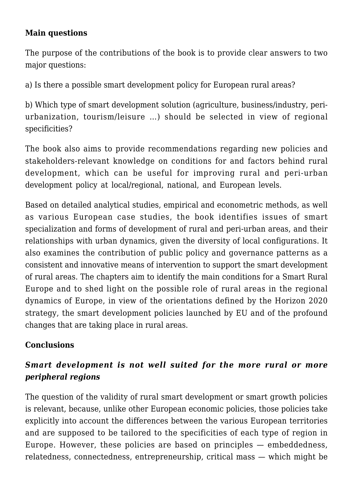#### **Main questions**

The purpose of the contributions of the book is to provide clear answers to two major questions:

a) Is there a possible smart development policy for European rural areas?

b) Which type of smart development solution (agriculture, business/industry, periurbanization, tourism/leisure …) should be selected in view of regional specificities?

The book also aims to provide recommendations regarding new policies and stakeholders-relevant knowledge on conditions for and factors behind rural development, which can be useful for improving rural and peri-urban development policy at local/regional, national, and European levels.

Based on detailed analytical studies, empirical and econometric methods, as well as various European case studies, the book identifies issues of smart specialization and forms of development of rural and peri-urban areas, and their relationships with urban dynamics, given the diversity of local configurations. It also examines the contribution of public policy and governance patterns as a consistent and innovative means of intervention to support the smart development of rural areas. The chapters aim to identify the main conditions for a Smart Rural Europe and to shed light on the possible role of rural areas in the regional dynamics of Europe, in view of the orientations defined by the Horizon 2020 strategy, the smart development policies launched by EU and of the profound changes that are taking place in rural areas.

#### **Conclusions**

## *Smart development is not well suited for the more rural or more peripheral regions*

The question of the validity of rural smart development or smart growth policies is relevant, because, unlike other European economic policies, those policies take explicitly into account the differences between the various European territories and are supposed to be tailored to the specificities of each type of region in Europe. However, these policies are based on principles — embeddedness, relatedness, connectedness, entrepreneurship, critical mass — which might be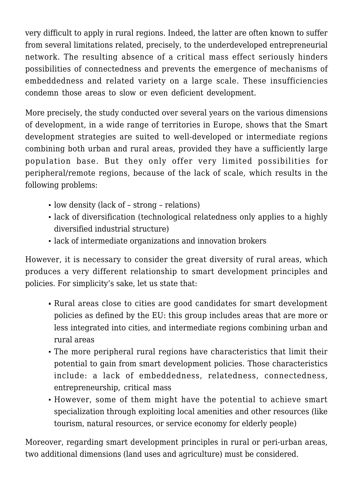very difficult to apply in rural regions. Indeed, the latter are often known to suffer from several limitations related, precisely, to the underdeveloped entrepreneurial network. The resulting absence of a critical mass effect seriously hinders possibilities of connectedness and prevents the emergence of mechanisms of embeddedness and related variety on a large scale. These insufficiencies condemn those areas to slow or even deficient development.

More precisely, the study conducted over several years on the various dimensions of development, in a wide range of territories in Europe, shows that the Smart development strategies are suited to well-developed or intermediate regions combining both urban and rural areas, provided they have a sufficiently large population base. But they only offer very limited possibilities for peripheral/remote regions, because of the lack of scale, which results in the following problems:

- low density (lack of strong relations)
- lack of diversification (technological relatedness only applies to a highly diversified industrial structure)
- lack of intermediate organizations and innovation brokers

However, it is necessary to consider the great diversity of rural areas, which produces a very different relationship to smart development principles and policies. For simplicity's sake, let us state that:

- Rural areas close to cities are good candidates for smart development policies as defined by the EU: this group includes areas that are more or less integrated into cities, and intermediate regions combining urban and rural areas
- The more peripheral rural regions have characteristics that limit their potential to gain from smart development policies. Those characteristics include: a lack of embeddedness, relatedness, connectedness, entrepreneurship, critical mass
- However, some of them might have the potential to achieve smart specialization through exploiting local amenities and other resources (like tourism, natural resources, or service economy for elderly people)

Moreover, regarding smart development principles in rural or peri-urban areas, two additional dimensions (land uses and agriculture) must be considered.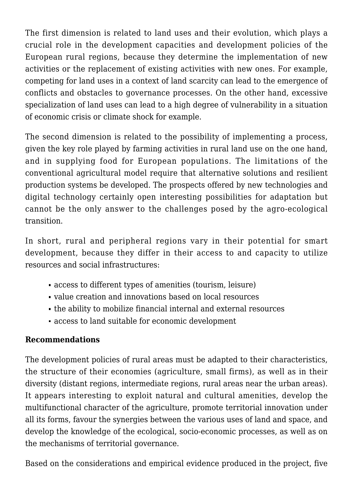The first dimension is related to land uses and their evolution, which plays a crucial role in the development capacities and development policies of the European rural regions, because they determine the implementation of new activities or the replacement of existing activities with new ones. For example, competing for land uses in a context of land scarcity can lead to the emergence of conflicts and obstacles to governance processes. On the other hand, excessive specialization of land uses can lead to a high degree of vulnerability in a situation of economic crisis or climate shock for example.

The second dimension is related to the possibility of implementing a process, given the key role played by farming activities in rural land use on the one hand, and in supplying food for European populations. The limitations of the conventional agricultural model require that alternative solutions and resilient production systems be developed. The prospects offered by new technologies and digital technology certainly open interesting possibilities for adaptation but cannot be the only answer to the challenges posed by the agro-ecological transition.

In short, rural and peripheral regions vary in their potential for smart development, because they differ in their access to and capacity to utilize resources and social infrastructures:

- access to different types of amenities (tourism, leisure)
- value creation and innovations based on local resources
- the ability to mobilize financial internal and external resources
- access to land suitable for economic development

### **Recommendations**

The development policies of rural areas must be adapted to their characteristics, the structure of their economies (agriculture, small firms), as well as in their diversity (distant regions, intermediate regions, rural areas near the urban areas). It appears interesting to exploit natural and cultural amenities, develop the multifunctional character of the agriculture, promote territorial innovation under all its forms, favour the synergies between the various uses of land and space, and develop the knowledge of the ecological, socio-economic processes, as well as on the mechanisms of territorial governance.

Based on the considerations and empirical evidence produced in the project, five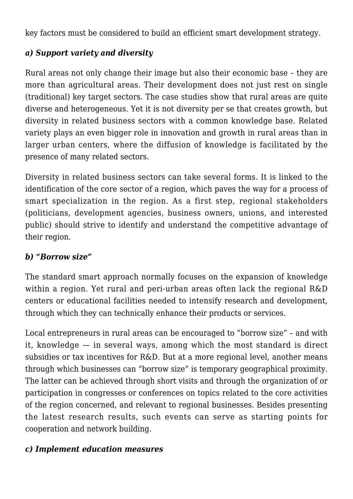key factors must be considered to build an efficient smart development strategy.

## *a) Support variety and diversity*

Rural areas not only change their image but also their economic base – they are more than agricultural areas. Their development does not just rest on single (traditional) key target sectors. The case studies show that rural areas are quite diverse and heterogeneous. Yet it is not diversity per se that creates growth, but diversity in related business sectors with a common knowledge base. Related variety plays an even bigger role in innovation and growth in rural areas than in larger urban centers, where the diffusion of knowledge is facilitated by the presence of many related sectors.

Diversity in related business sectors can take several forms. It is linked to the identification of the core sector of a region, which paves the way for a process of smart specialization in the region. As a first step, regional stakeholders (politicians, development agencies, business owners, unions, and interested public) should strive to identify and understand the competitive advantage of their region.

### *b) "Borrow size"*

The standard smart approach normally focuses on the expansion of knowledge within a region. Yet rural and peri-urban areas often lack the regional R&D centers or educational facilities needed to intensify research and development, through which they can technically enhance their products or services.

Local entrepreneurs in rural areas can be encouraged to "borrow size" – and with it, knowledge — in several ways, among which the most standard is direct subsidies or tax incentives for R&D. But at a more regional level, another means through which businesses can "borrow size" is temporary geographical proximity. The latter can be achieved through short visits and through the organization of or participation in congresses or conferences on topics related to the core activities of the region concerned, and relevant to regional businesses. Besides presenting the latest research results, such events can serve as starting points for cooperation and network building.

### *c) Implement education measures*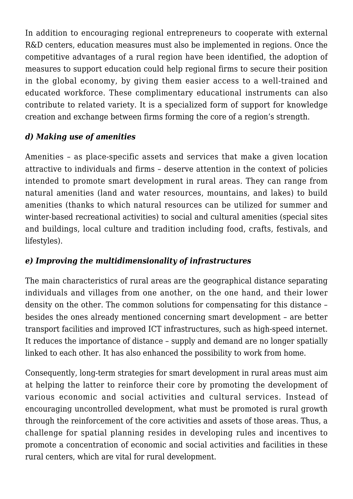In addition to encouraging regional entrepreneurs to cooperate with external R&D centers, education measures must also be implemented in regions. Once the competitive advantages of a rural region have been identified, the adoption of measures to support education could help regional firms to secure their position in the global economy, by giving them easier access to a well-trained and educated workforce. These complimentary educational instruments can also contribute to related variety. It is a specialized form of support for knowledge creation and exchange between firms forming the core of a region's strength.

# *d) Making use of amenities*

Amenities – as place-specific assets and services that make a given location attractive to individuals and firms – deserve attention in the context of policies intended to promote smart development in rural areas. They can range from natural amenities (land and water resources, mountains, and lakes) to build amenities (thanks to which natural resources can be utilized for summer and winter-based recreational activities) to social and cultural amenities (special sites and buildings, local culture and tradition including food, crafts, festivals, and lifestyles).

### *e) Improving the multidimensionality of infrastructures*

The main characteristics of rural areas are the geographical distance separating individuals and villages from one another, on the one hand, and their lower density on the other. The common solutions for compensating for this distance – besides the ones already mentioned concerning smart development – are better transport facilities and improved ICT infrastructures, such as high-speed internet. It reduces the importance of distance – supply and demand are no longer spatially linked to each other. It has also enhanced the possibility to work from home.

Consequently, long-term strategies for smart development in rural areas must aim at helping the latter to reinforce their core by promoting the development of various economic and social activities and cultural services. Instead of encouraging uncontrolled development, what must be promoted is rural growth through the reinforcement of the core activities and assets of those areas. Thus, a challenge for spatial planning resides in developing rules and incentives to promote a concentration of economic and social activities and facilities in these rural centers, which are vital for rural development.